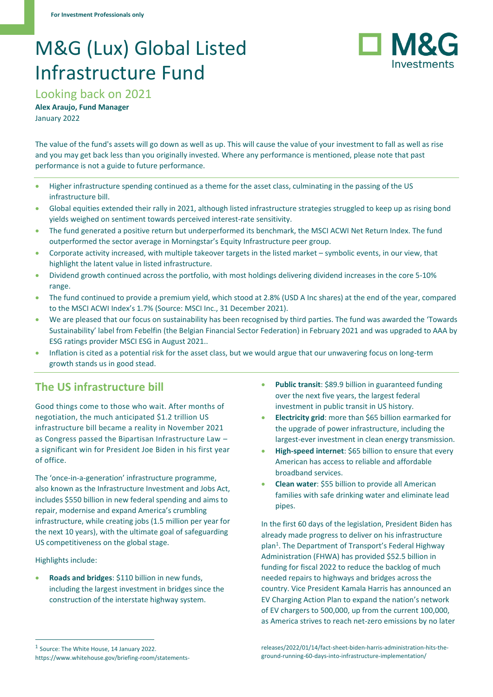# M&G (Lux) Global Listed Infrastructure Fund



Looking back on 2021

**Alex Araujo, Fund Manager** January 2022

The value of the fund's assets will go down as well as up. This will cause the value of your investment to fall as well as rise and you may get back less than you originally invested. Where any performance is mentioned, please note that past performance is not a guide to future performance.

- Higher infrastructure spending continued as a theme for the asset class, culminating in the passing of the US infrastructure bill.
- Global equities extended their rally in 2021, although listed infrastructure strategies struggled to keep up as rising bond yields weighed on sentiment towards perceived interest-rate sensitivity.
- The fund generated a positive return but underperformed its benchmark, the MSCI ACWI Net Return Index. The fund outperformed the sector average in Morningstar's Equity Infrastructure peer group.
- Corporate activity increased, with multiple takeover targets in the listed market symbolic events, in our view, that highlight the latent value in listed infrastructure.
- Dividend growth continued across the portfolio, with most holdings delivering dividend increases in the core 5-10% range.
- The fund continued to provide a premium yield, which stood at 2.8% (USD A Inc shares) at the end of the year, compared to the MSCI ACWI Index's 1.7% (Source: MSCI Inc., 31 December 2021).
- We are pleased that our focus on sustainability has been recognised by third parties. The fund was awarded the 'Towards Sustainability' label from Febelfin (the Belgian Financial Sector Federation) in February 2021 and was upgraded to AAA by ESG ratings provider MSCI ESG in August 2021..
- Inflation is cited as a potential risk for the asset class, but we would argue that our unwavering focus on long-term growth stands us in good stead.

# **The US infrastructure bill**

Good things come to those who wait. After months of negotiation, the much anticipated \$1.2 trillion US infrastructure bill became a reality in November 2021 as Congress passed the Bipartisan Infrastructure Law – a significant win for President Joe Biden in his first year of office.

The 'once-in-a-generation' infrastructure programme, also known as the Infrastructure Investment and Jobs Act, includes \$550 billion in new federal spending and aims to repair, modernise and expand America's crumbling infrastructure, while creating jobs (1.5 million per year for the next 10 years), with the ultimate goal of safeguarding US competitiveness on the global stage.

Highlights include:

• **Roads and bridges**: \$110 billion in new funds, including the largest investment in bridges since the construction of the interstate highway system.

- **Electricity grid**: more than \$65 billion earmarked for the upgrade of power infrastructure, including the largest-ever investment in clean energy transmission.
- **High-speed internet**: \$65 billion to ensure that every American has access to reliable and affordable broadband services.
- **Clean water**: \$55 billion to provide all American families with safe drinking water and eliminate lead pipes.

In the first 60 days of the legislation, President Biden has already made progress to deliver on his infrastructure plan<sup>1</sup>. The Department of Transport's Federal Highway Administration (FHWA) has provided \$52.5 billion in funding for fiscal 2022 to reduce the backlog of much needed repairs to highways and bridges across the country. Vice President Kamala Harris has announced an EV Charging Action Plan to expand the nation's network of EV chargers to 500,000, up from the current 100,000, as America strives to reach net-zero emissions by no later

Public transit: \$89.9 billion in guaranteed funding over the next five years, the largest federal investment in public transit in US history.

<sup>&</sup>lt;sup>1</sup> Source: The White House, 14 January 2022. https://www.whitehouse.gov/briefing-room/statements-

releases/2022/01/14/fact-sheet-biden-harris-administration-hits-theground-running-60-days-into-infrastructure-implementation/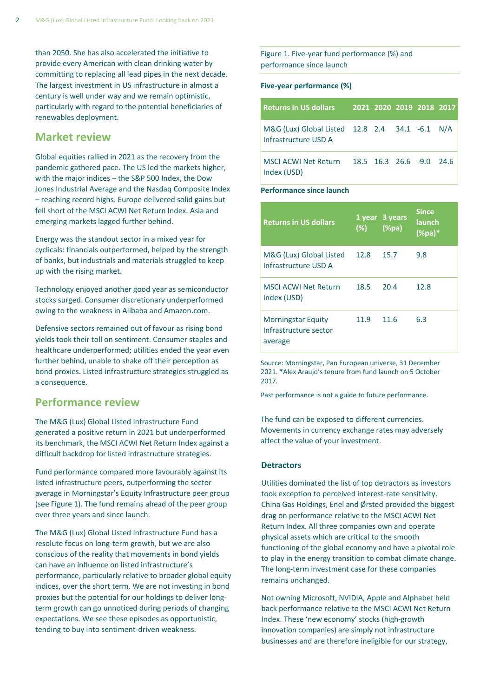than 2050. She has also accelerated the initiative to provide every American with clean drinking water by committing to replacing all lead pipes in the next decade. The largest investment in US infrastructure in almost a century is well under way and we remain optimistic, particularly with regard to the potential beneficiaries of renewables deployment.

### **Market review**

Global equities rallied in 2021 as the recovery from the pandemic gathered pace. The US led the markets higher, with the major indices – the S&P 500 Index, the Dow Jones Industrial Average and the Nasdaq Composite Index – reaching record highs. Europe delivered solid gains but fell short of the MSCI ACWI Net Return Index. Asia and emerging markets lagged further behind.

Energy was the standout sector in a mixed year for cyclicals: financials outperformed, helped by the strength of banks, but industrials and materials struggled to keep up with the rising market.

Technology enjoyed another good year as semiconductor stocks surged. Consumer discretionary underperformed owing to the weakness in Alibaba and Amazon.com.

Defensive sectors remained out of favour as rising bond yields took their toll on sentiment. Consumer staples and healthcare underperformed; utilities ended the year even further behind, unable to shake off their perception as bond proxies. Listed infrastructure strategies struggled as a consequence.

### **Performance review**

The M&G (Lux) Global Listed Infrastructure Fund generated a positive return in 2021 but underperformed its benchmark, the MSCI ACWI Net Return Index against a difficult backdrop for listed infrastructure strategies.

Fund performance compared more favourably against its listed infrastructure peers, outperforming the sector average in Morningstar's Equity Infrastructure peer group (see Figure 1). The fund remains ahead of the peer group over three years and since launch.

The M&G (Lux) Global Listed Infrastructure Fund has a resolute focus on long-term growth, but we are also conscious of the reality that movements in bond yields can have an influence on listed infrastructure's performance, particularly relative to broader global equity indices, over the short term. We are not investing in bond proxies but the potential for our holdings to deliver longterm growth can go unnoticed during periods of changing expectations. We see these episodes as opportunistic, tending to buy into sentiment-driven weakness.

Figure 1. Five-year fund performance (%) and performance since launch

### **Five-year performance (%)**

| <b>Returns in US dollars</b>                                           | 2021 2020 2019 2018 2017 |  |  |
|------------------------------------------------------------------------|--------------------------|--|--|
| M&G (Lux) Global Listed 12.8 2.4 34.1 -6.1 N/A<br>Infrastructure USD A |                          |  |  |
| MSCI ACWI Net Return 18.5 16.3 26.6 -9.0 24.6<br>Index (USD)           |                          |  |  |

#### **Performance since launch**

| <b>Returns in US dollars</b>                                  | (%)  | 1 year 3 years<br>$(\%pa)$ | <b>Since</b><br>launch<br>(%pa)* |
|---------------------------------------------------------------|------|----------------------------|----------------------------------|
| M&G (Lux) Global Listed<br>Infrastructure USD A               | 12.8 | 15.7                       | 9.8                              |
| <b>MSCLACWLNet Return</b><br>Index (USD)                      | 18.5 | 20.4                       | 12.8                             |
| <b>Morningstar Equity</b><br>Infrastructure sector<br>average | 11.9 | 11.6                       | 6.3                              |

Source: Morningstar, Pan European universe, 31 December 2021. \*Alex Araujo's tenure from fund launch on 5 October 2017.

Past performance is not a guide to future performance.

The fund can be exposed to different currencies. Movements in currency exchange rates may adversely affect the value of your investment.

#### **Detractors**

Utilities dominated the list of top detractors as investors took exception to perceived interest-rate sensitivity. China Gas Holdings, Enel and Ørsted provided the biggest drag on performance relative to the MSCI ACWI Net Return Index. All three companies own and operate physical assets which are critical to the smooth functioning of the global economy and have a pivotal role to play in the energy transition to combat climate change. The long-term investment case for these companies remains unchanged.

Not owning Microsoft, NVIDIA, Apple and Alphabet held back performance relative to the MSCI ACWI Net Return Index. These 'new economy' stocks (high-growth innovation companies) are simply not infrastructure businesses and are therefore ineligible for our strategy,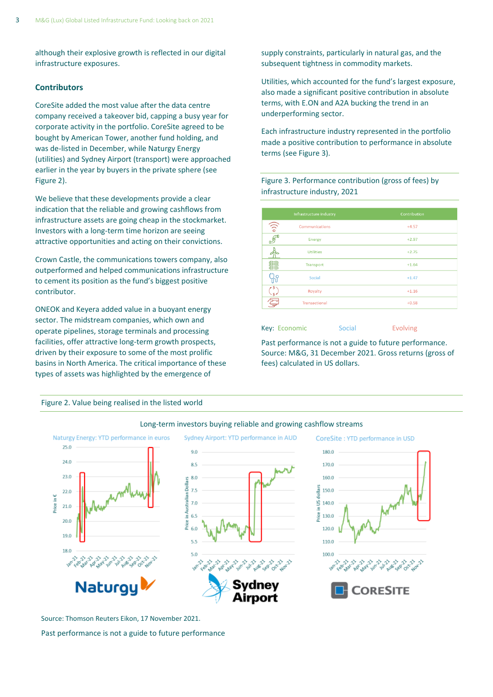although their explosive growth is reflected in our digital infrastructure exposures.

### **Contributors**

CoreSite added the most value after the data centre company received a takeover bid, capping a busy year for corporate activity in the portfolio. CoreSite agreed to be bought by American Tower, another fund holding, and was de-listed in December, while Naturgy Energy (utilities) and Sydney Airport (transport) were approached earlier in the year by buyers in the private sphere (see Figure 2).

We believe that these developments provide a clear indication that the reliable and growing cashflows from infrastructure assets are going cheap in the stockmarket. Investors with a long-term time horizon are seeing attractive opportunities and acting on their convictions.

Crown Castle, the communications towers company, also outperformed and helped communications infrastructure to cement its position as the fund's biggest positive contributor.

ONEOK and Keyera added value in a buoyant energy sector. The midstream companies, which own and operate pipelines, storage terminals and processing facilities, offer attractive long-term growth prospects, driven by their exposure to some of the most prolific basins in North America. The critical importance of these types of assets was highlighted by the emergence of

Figure 2. Value being realised in the listed world

Sydney Airport: YTD performance in AUD Naturgy Energy: YTD performance in euros CoreSite : YTD performance in USD 25.0 9.0 180.0 24.0 8.5 170.0 23.0 8.0 160.0 in Australian Dollars  $7.5$ in US dollar 150.0  $220$ Price in E  $7.0$ 140.0  $21.0$ rice 6.5 130.0  $20.0$ 60 120.0 19.0 5.5 110.0 5.0 100.0 Naturg **PRESITE** 

### Long-term investors buying reliable and growing cashflow streams

Source: Thomson Reuters Eikon, 17 November 2021.

Past performance is not a guide to future performance

supply constraints, particularly in natural gas, and the subsequent tightness in commodity markets.

Utilities, which accounted for the fund's largest exposure, also made a significant positive contribution in absolute terms, with E.ON and A2A bucking the trend in an underperforming sector.

Each infrastructure industry represented in the portfolio made a positive contribution to performance in absolute terms (see Figure 3).

Figure 3. Performance contribution (gross of fees) by infrastructure industry, 2021

|                          | Infrastructure industry | Contribution |  |  |
|--------------------------|-------------------------|--------------|--|--|
| $\binom{1}{0}$           | <b>Communications</b>   | $+4.57$      |  |  |
| $\overline{\mathcal{F}}$ | <b>Energy</b>           | $+2.97$      |  |  |
|                          | <b>Utilities</b>        | $+2.75$      |  |  |
| 讎                        | Transport               | $+1.64$      |  |  |
| $\mathbf C$<br>m         | Social                  | $+1.47$      |  |  |
| $\overline{\mathsf{s}}$  | Royalty                 | $+1.16$      |  |  |
|                          | <b>Transactional</b>    | $+0.58$      |  |  |

Key: Economic Social Evolving

Past performance is not a guide to future performance. Source: M&G, 31 December 2021. Gross returns (gross of fees) calculated in US dollars.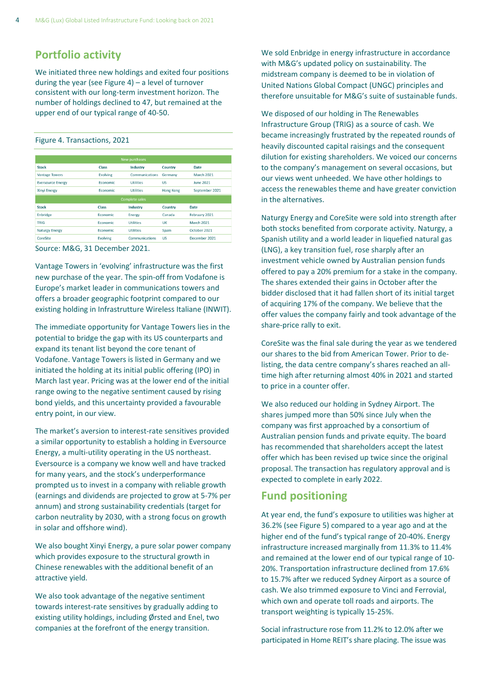# **Portfolio activity**

We initiated three new holdings and exited four positions during the year (see Figure 4) – a level of turnover consistent with our long-term investment horizon. The number of holdings declined to 47, but remained at the upper end of our typical range of 40-50.

#### Figure 4. Transactions, 2021

| <b>New purchases</b>     |                 |                       |                  |                   |  |  |
|--------------------------|-----------------|-----------------------|------------------|-------------------|--|--|
| <b>Stock</b>             | Class           | Industry              | Country          | <b>Date</b>       |  |  |
| <b>Vantage Towers</b>    | <b>Evolving</b> | Communications        | Germany          | <b>March 2021</b> |  |  |
| <b>Eversource Energy</b> | Economic        | <b>Utilities</b>      | US               | June 2021         |  |  |
| <b>Xinyi Energy</b>      | <b>Economic</b> | <b>Utilities</b>      | <b>Hong Kong</b> | September 2021    |  |  |
|                          |                 | <b>Complete sales</b> |                  |                   |  |  |
| <b>Stock</b>             | Class           | Industry              | Country          | Date              |  |  |
| Enbridge                 | Economic        | <b>Energy</b>         | Canada           | February 2021     |  |  |
| <b>TRIG</b>              | Economic        | <b>Utilities</b>      | UK               | <b>March 2021</b> |  |  |
| <b>Naturgy Energy</b>    | <b>Economic</b> | <b>Utilities</b>      | Spain            | October 2021      |  |  |
| <b>CoreSite</b>          | <b>Evolving</b> | Communications        | US               | December 2021     |  |  |
|                          |                 |                       |                  |                   |  |  |



Vantage Towers in 'evolving' infrastructure was the first new purchase of the year. The spin-off from Vodafone is Europe's market leader in communications towers and offers a broader geographic footprint compared to our existing holding in Infrastrutture Wireless Italiane (INWIT).

The immediate opportunity for Vantage Towers lies in the potential to bridge the gap with its US counterparts and expand its tenant list beyond the core tenant of Vodafone. Vantage Towers is listed in Germany and we initiated the holding at its initial public offering (IPO) in March last year. Pricing was at the lower end of the initial range owing to the negative sentiment caused by rising bond yields, and this uncertainty provided a favourable entry point, in our view.

The market's aversion to interest-rate sensitives provided a similar opportunity to establish a holding in Eversource Energy, a multi-utility operating in the US northeast. Eversource is a company we know well and have tracked for many years, and the stock's underperformance prompted us to invest in a company with reliable growth (earnings and dividends are projected to grow at 5-7% per annum) and strong sustainability credentials (target for carbon neutrality by 2030, with a strong focus on growth in solar and offshore wind).

We also bought Xinyi Energy, a pure solar power company which provides exposure to the structural growth in Chinese renewables with the additional benefit of an attractive yield.

We also took advantage of the negative sentiment towards interest-rate sensitives by gradually adding to existing utility holdings, including Ørsted and Enel, two companies at the forefront of the energy transition.

We sold Enbridge in energy infrastructure in accordance with M&G's updated policy on sustainability. The midstream company is deemed to be in violation of United Nations Global Compact (UNGC) principles and therefore unsuitable for M&G's suite of sustainable funds.

We disposed of our holding in The Renewables Infrastructure Group (TRIG) as a source of cash. We became increasingly frustrated by the repeated rounds of heavily discounted capital raisings and the consequent dilution for existing shareholders. We voiced our concerns to the company's management on several occasions, but our views went unheeded. We have other holdings to access the renewables theme and have greater conviction in the alternatives.

Naturgy Energy and CoreSite were sold into strength after both stocks benefited from corporate activity. Naturgy, a Spanish utility and a world leader in liquefied natural gas (LNG), a key transition fuel, rose sharply after an investment vehicle owned by Australian pension funds offered to pay a 20% premium for a stake in the company. The shares extended their gains in October after the bidder disclosed that it had fallen short of its initial target of acquiring 17% of the company. We believe that the offer values the company fairly and took advantage of the share-price rally to exit.

CoreSite was the final sale during the year as we tendered our shares to the bid from American Tower. Prior to delisting, the data centre company's shares reached an alltime high after returning almost 40% in 2021 and started to price in a counter offer.

We also reduced our holding in Sydney Airport. The shares jumped more than 50% since July when the company was first approached by a consortium of Australian pension funds and private equity. The board has recommended that shareholders accept the latest offer which has been revised up twice since the original proposal. The transaction has regulatory approval and is expected to complete in early 2022.

## **Fund positioning**

At year end, the fund's exposure to utilities was higher at 36.2% (see Figure 5) compared to a year ago and at the higher end of the fund's typical range of 20-40%. Energy infrastructure increased marginally from 11.3% to 11.4% and remained at the lower end of our typical range of 10- 20%. Transportation infrastructure declined from 17.6% to 15.7% after we reduced Sydney Airport as a source of cash. We also trimmed exposure to Vinci and Ferrovial, which own and operate toll roads and airports. The transport weighting is typically 15-25%.

Social infrastructure rose from 11.2% to 12.0% after we participated in Home REIT's share placing. The issue was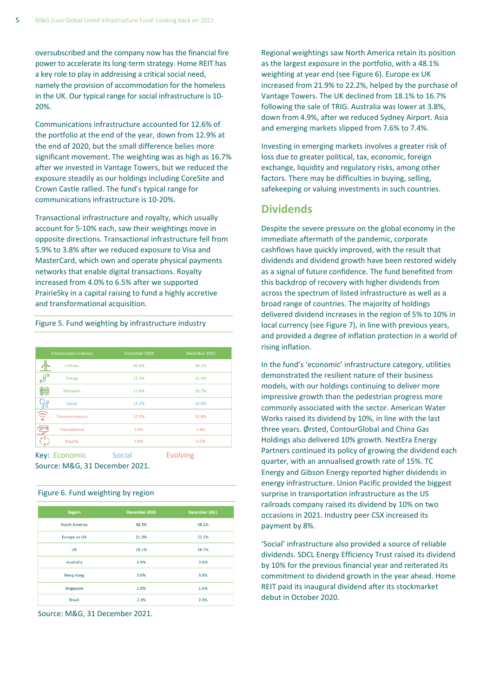oversubscribed and the company now has the financial fire power to accelerate its long-term strategy. Home REIT has a key role to play in addressing a critical social need, namely the provision of accommodation for the homeless in the UK. Our typical range for social infrastructure is 10- 20%.

Communications infrastructure accounted for 12.6% of the portfolio at the end of the year, down from 12.9% at the end of 2020, but the small difference belies more significant movement. The weighting was as high as 16.7% after we invested in Vantage Towers, but we reduced the exposure steadily as our holdings including CoreSite and Crown Castle rallied. The fund's typical range for communications infrastructure is 10-20%.

Transactional infrastructure and royalty, which usually account for 5-10% each, saw their weightings move in opposite directions. Transactional infrastructure fell from 5.9% to 3.8% after we reduced exposure to Visa and MasterCard, which own and operate physical payments networks that enable digital transactions. Royalty increased from 4.0% to 6.5% after we supported PrairieSky in a capital raising to fund a highly accretive and transformational acquisition.

#### Figure 5. Fund weighting by infrastructure industry

|                         | Infrastructure industry | December 2020 | December 2021 |
|-------------------------|-------------------------|---------------|---------------|
|                         | <b>Utilities</b>        | 35.9%         | 36.2%         |
| F                       | <b>Energy</b>           | 11.3%         | 11.4%         |
| 非                       | <b>Transport</b>        | 17.6%         | 15.7%         |
|                         | Social                  | 11.2%         | 12.0%         |
| $\frac{1}{\sqrt{2}}$    | Communications          | 12.9%         | 12.6%         |
| $\overline{\mathbb{Z}}$ | <b>Transactional</b>    | 5.9%          | 3.8%          |
|                         | Royalty                 | 4.0%          | 6.5%          |

Key: Economic Social Evolving Source: M&G, 31 December 2021.

### Figure 6. Fund weighting by region

| Region               | December 2020 | December 2021 |
|----------------------|---------------|---------------|
| <b>North America</b> | 46.3%         | 48.1%         |
| Europe ex UK         | 21.9%         | 22.2%         |
| UK                   | 18.1%         | 16.7%         |
| Australia            | 4.9%          | 3.8%          |
| <b>Hong Kong</b>     | 3.6%          | 3.8%          |
| Singapore            | 1.9%          | 1.6%          |
| <b>Brazil</b>        | 2.1%          | 2.0%          |

Source: M&G, 31 December 2021.

Regional weightings saw North America retain its position as the largest exposure in the portfolio, with a 48.1% weighting at year end (see Figure 6). Europe ex UK increased from 21.9% to 22.2%, helped by the purchase of Vantage Towers. The UK declined from 18.1% to 16.7% following the sale of TRIG. Australia was lower at 3.8%, down from 4.9%, after we reduced Sydney Airport. Asia and emerging markets slipped from 7.6% to 7.4%.

Investing in emerging markets involves a greater risk of loss due to greater political, tax, economic, foreign exchange, liquidity and regulatory risks, among other factors. There may be difficulties in buying, selling, safekeeping or valuing investments in such countries.

### **Dividends**

Despite the severe pressure on the global economy in the immediate aftermath of the pandemic, corporate cashflows have quickly improved, with the result that dividends and dividend growth have been restored widely as a signal of future confidence. The fund benefited from this backdrop of recovery with higher dividends from across the spectrum of listed infrastructure as well as a broad range of countries. The majority of holdings delivered dividend increases in the region of 5% to 10% in local currency (see Figure 7), in line with previous years, and provided a degree of inflation protection in a world of rising inflation.

In the fund's 'economic' infrastructure category, utilities demonstrated the resilient nature of their business models, with our holdings continuing to deliver more impressive growth than the pedestrian progress more commonly associated with the sector. American Water Works raised its dividend by 10%, in line with the last three years. Ørsted, ContourGlobal and China Gas Holdings also delivered 10% growth. NextEra Energy Partners continued its policy of growing the dividend each quarter, with an annualised growth rate of 15%. TC Energy and Gibson Energy reported higher dividends in energy infrastructure. Union Pacific provided the biggest surprise in transportation infrastructure as the US railroads company raised its dividend by 10% on two occasions in 2021. Industry peer CSX increased its payment by 8%.

'Social' infrastructure also provided a source of reliable dividends. SDCL Energy Efficiency Trust raised its dividend by 10% for the previous financial year and reiterated its commitment to dividend growth in the year ahead. Home REIT paid its inaugural dividend after its stockmarket debut in October 2020.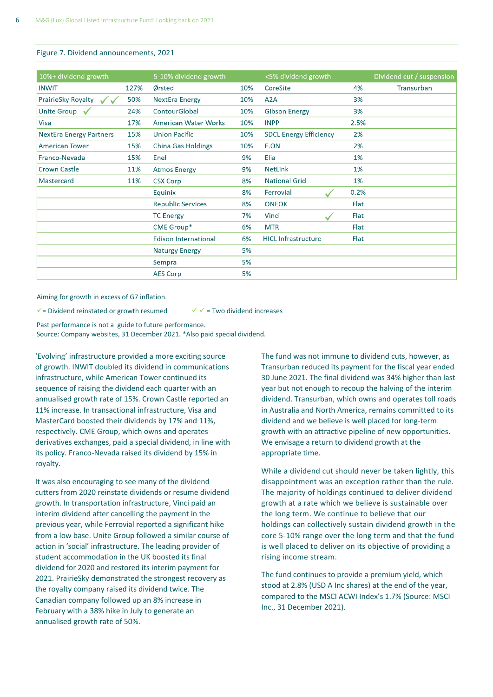#### Figure 7. Dividend announcements, 2021

| 10%+ dividend growth                            |      | 5-10% dividend growth       |     | <5% dividend growth           |       | Dividend cut / suspension |
|-------------------------------------------------|------|-----------------------------|-----|-------------------------------|-------|---------------------------|
| <b>INWIT</b>                                    | 127% | Ørsted                      | 10% | CoreSite                      | 4%    | Transurban                |
| PrairieSky Royalty<br>$\checkmark$ $\checkmark$ | 50%  | <b>NextEra Energy</b>       | 10% | A <sub>2</sub> A              | 3%    |                           |
| Unite Group $\sqrt{}$                           | 24%  | ContourGlobal               | 10% | <b>Gibson Energy</b>          | 3%    |                           |
| Visa                                            | 17%  | <b>American Water Works</b> | 10% | <b>INPP</b>                   | 2.5%  |                           |
| <b>NextEra Energy Partners</b>                  | 15%  | <b>Union Pacific</b>        | 10% | <b>SDCL Energy Efficiency</b> | 2%    |                           |
| <b>American Tower</b>                           | 15%  | <b>China Gas Holdings</b>   | 10% | E.ON                          | 2%    |                           |
| Franco-Nevada                                   | 15%  | Enel                        | 9%  | Elia                          | 1%    |                           |
| <b>Crown Castle</b>                             | 11%  | <b>Atmos Energy</b>         | 9%  | <b>NetLink</b>                | 1%    |                           |
| Mastercard                                      | 11%  | <b>CSX Corp</b>             | 8%  | <b>National Grid</b>          | $1\%$ |                           |
|                                                 |      | Equinix                     | 8%  | Ferrovial                     | 0.2%  |                           |
|                                                 |      | <b>Republic Services</b>    | 8%  | <b>ONEOK</b>                  | Flat  |                           |
|                                                 |      | <b>TC Energy</b>            | 7%  | Vinci                         | Flat  |                           |
|                                                 |      | CME Group*                  | 6%  | <b>MTR</b>                    | Flat  |                           |
|                                                 |      | <b>Edison International</b> | 6%  | <b>HICL Infrastructure</b>    | Flat  |                           |
|                                                 |      | <b>Naturgy Energy</b>       | 5%  |                               |       |                           |
|                                                 |      | Sempra                      | 5%  |                               |       |                           |
|                                                 |      | <b>AES Corp</b>             | 5%  |                               |       |                           |

Aiming for growth in excess of G7 inflation.

 $\checkmark$  = Dividend reinstated or growth resumed  $\checkmark$   $\checkmark$  = Two dividend increases

Past performance is not a guide to future performance. Source: Company websites, 31 December 2021. \*Also paid special dividend.

'Evolving' infrastructure provided a more exciting source of growth. INWIT doubled its dividend in communications infrastructure, while American Tower continued its sequence of raising the dividend each quarter with an annualised growth rate of 15%. Crown Castle reported an 11% increase. In transactional infrastructure, Visa and MasterCard boosted their dividends by 17% and 11%, respectively. CME Group, which owns and operates derivatives exchanges, paid a special dividend, in line with its policy. Franco-Nevada raised its dividend by 15% in royalty.

It was also encouraging to see many of the dividend cutters from 2020 reinstate dividends or resume dividend growth. In transportation infrastructure, Vinci paid an interim dividend after cancelling the payment in the previous year, while Ferrovial reported a significant hike from a low base. Unite Group followed a similar course of action in 'social' infrastructure. The leading provider of student accommodation in the UK boosted its final dividend for 2020 and restored its interim payment for 2021. PrairieSky demonstrated the strongest recovery as the royalty company raised its dividend twice. The Canadian company followed up an 8% increase in February with a 38% hike in July to generate an annualised growth rate of 50%.

The fund was not immune to dividend cuts, however, as Transurban reduced its payment for the fiscal year ended 30 June 2021. The final dividend was 34% higher than last year but not enough to recoup the halving of the interim dividend. Transurban, which owns and operates toll roads in Australia and North America, remains committed to its dividend and we believe is well placed for long-term growth with an attractive pipeline of new opportunities. We envisage a return to dividend growth at the appropriate time.

While a dividend cut should never be taken lightly, this disappointment was an exception rather than the rule. The majority of holdings continued to deliver dividend growth at a rate which we believe is sustainable over the long term. We continue to believe that our holdings can collectively sustain dividend growth in the core 5-10% range over the long term and that the fund is well placed to deliver on its objective of providing a rising income stream.

The fund continues to provide a premium yield, which stood at 2.8% (USD A Inc shares) at the end of the year, compared to the MSCI ACWI Index's 1.7% (Source: MSCI Inc., 31 December 2021).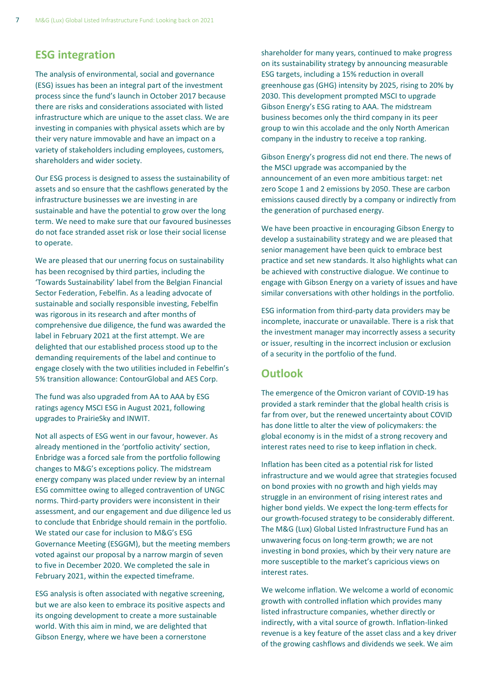## **ESG integration**

The analysis of environmental, social and governance (ESG) issues has been an integral part of the investment process since the fund's launch in October 2017 because there are risks and considerations associated with listed infrastructure which are unique to the asset class. We are investing in companies with physical assets which are by their very nature immovable and have an impact on a variety of stakeholders including employees, customers, shareholders and wider society.

Our ESG process is designed to assess the sustainability of assets and so ensure that the cashflows generated by the infrastructure businesses we are investing in are sustainable and have the potential to grow over the long term. We need to make sure that our favoured businesses do not face stranded asset risk or lose their social license to operate.

We are pleased that our unerring focus on sustainability has been recognised by third parties, including the 'Towards Sustainability' label from the Belgian Financial Sector Federation, Febelfin. As a leading advocate of sustainable and socially responsible investing, Febelfin was rigorous in its research and after months of comprehensive due diligence, the fund was awarded the label in February 2021 at the first attempt. We are delighted that our established process stood up to the demanding requirements of the label and continue to engage closely with the two utilities included in Febelfin's 5% transition allowance: ContourGlobal and AES Corp.

The fund was also upgraded from AA to AAA by ESG ratings agency MSCI ESG in August 2021, following upgrades to PrairieSky and INWIT.

Not all aspects of ESG went in our favour, however. As already mentioned in the 'portfolio activity' section, Enbridge was a forced sale from the portfolio following changes to M&G's exceptions policy. The midstream energy company was placed under review by an internal ESG committee owing to alleged contravention of UNGC norms. Third-party providers were inconsistent in their assessment, and our engagement and due diligence led us to conclude that Enbridge should remain in the portfolio. We stated our case for inclusion to M&G's ESG Governance Meeting (ESGGM), but the meeting members voted against our proposal by a narrow margin of seven to five in December 2020. We completed the sale in February 2021, within the expected timeframe.

ESG analysis is often associated with negative screening, but we are also keen to embrace its positive aspects and its ongoing development to create a more sustainable world. With this aim in mind, we are delighted that Gibson Energy, where we have been a cornerstone

shareholder for many years, continued to make progress on its sustainability strategy by announcing measurable ESG targets, including a 15% reduction in overall greenhouse gas (GHG) intensity by 2025, rising to 20% by 2030. This development prompted MSCI to upgrade Gibson Energy's ESG rating to AAA. The midstream business becomes only the third company in its peer group to win this accolade and the only North American company in the industry to receive a top ranking.

Gibson Energy's progress did not end there. The news of the MSCI upgrade was accompanied by the announcement of an even more ambitious target: net zero Scope 1 and 2 emissions by 2050. These are carbon emissions caused directly by a company or indirectly from the generation of purchased energy.

We have been proactive in encouraging Gibson Energy to develop a sustainability strategy and we are pleased that senior management have been quick to embrace best practice and set new standards. It also highlights what can be achieved with constructive dialogue. We continue to engage with Gibson Energy on a variety of issues and have similar conversations with other holdings in the portfolio.

ESG information from third-party data providers may be incomplete, inaccurate or unavailable. There is a risk that the investment manager may incorrectly assess a security or issuer, resulting in the incorrect inclusion or exclusion of a security in the portfolio of the fund.

## **Outlook**

The emergence of the Omicron variant of COVID-19 has provided a stark reminder that the global health crisis is far from over, but the renewed uncertainty about COVID has done little to alter the view of policymakers: the global economy is in the midst of a strong recovery and interest rates need to rise to keep inflation in check.

Inflation has been cited as a potential risk for listed infrastructure and we would agree that strategies focused on bond proxies with no growth and high yields may struggle in an environment of rising interest rates and higher bond yields. We expect the long-term effects for our growth-focused strategy to be considerably different. The M&G (Lux) Global Listed Infrastructure Fund has an unwavering focus on long-term growth; we are not investing in bond proxies, which by their very nature are more susceptible to the market's capricious views on interest rates.

We welcome inflation. We welcome a world of economic growth with controlled inflation which provides many listed infrastructure companies, whether directly or indirectly, with a vital source of growth. Inflation-linked revenue is a key feature of the asset class and a key driver of the growing cashflows and dividends we seek. We aim